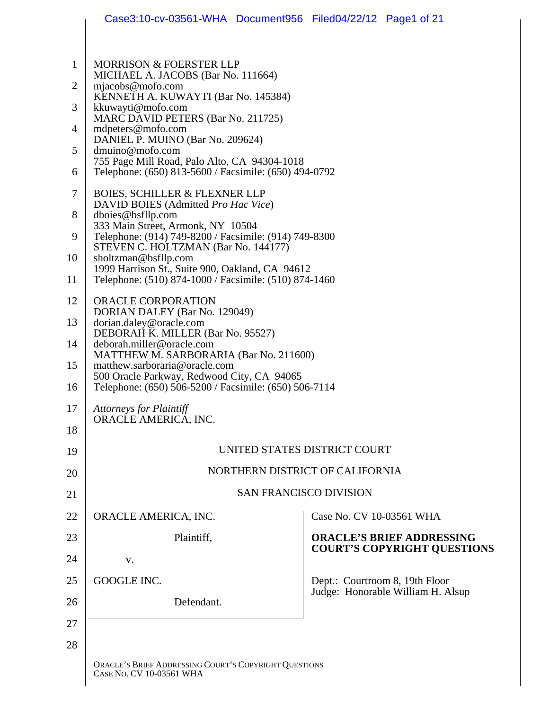|              | Case3:10-cv-03561-WHA Document956 Filed04/22/12 Page1 of 21                                                    |                                |                                                                        |
|--------------|----------------------------------------------------------------------------------------------------------------|--------------------------------|------------------------------------------------------------------------|
|              |                                                                                                                |                                |                                                                        |
| $\mathbf{1}$ | <b>MORRISON &amp; FOERSTER LLP</b>                                                                             |                                |                                                                        |
| 2            | MICHAEL A. JACOBS (Bar No. 111664)<br>mjacobs@mofo.com                                                         |                                |                                                                        |
| 3            | KENNETH A. KUWAYTI (Bar No. 145384)<br>kkuwayti@mofo.com                                                       |                                |                                                                        |
| 4            | MARC DAVID PETERS (Bar No. 211725)<br>mdpeters@mofo.com                                                        |                                |                                                                        |
| 5            | DANIEL P. MUINO (Bar No. 209624)<br>dmuino@mofo.com                                                            |                                |                                                                        |
| 6            | 755 Page Mill Road, Palo Alto, CA 94304-1018<br>Telephone: (650) 813-5600 / Facsimile: (650) 494-0792          |                                |                                                                        |
| 7            | <b>BOIES, SCHILLER &amp; FLEXNER LLP</b>                                                                       |                                |                                                                        |
| 8            | DAVID BOIES (Admitted Pro Hac Vice)<br>dboies@bsfllp.com                                                       |                                |                                                                        |
| 9            | 333 Main Street, Armonk, NY 10504<br>Telephone: (914) 749-8200 / Facsimile: (914) 749-8300                     |                                |                                                                        |
| 10           | STEVEN C. HOLTZMAN (Bar No. 144177)<br>sholtzman@bsfllp.com<br>1999 Harrison St., Suite 900, Oakland, CA 94612 |                                |                                                                        |
| 11           | Telephone: (510) 874-1000 / Facsimile: (510) 874-1460                                                          |                                |                                                                        |
| 12           | ORACLE CORPORATION<br>DORIAN DALEY (Bar No. 129049)                                                            |                                |                                                                        |
| 13           | dorian.daley@oracle.com<br>DEBORAH K. MILLER (Bar No. 95527)                                                   |                                |                                                                        |
| 14           | deborah.miller@oracle.com<br>MATTHEW M. SARBORARIA (Bar No. 211600)                                            |                                |                                                                        |
| 15           | matthew.sarboraria@oracle.com<br>500 Oracle Parkway, Redwood City, CA 94065                                    |                                |                                                                        |
| 16           | Telephone: (650) 506-5200 / Facsimile: (650) 506-7114                                                          |                                |                                                                        |
| 17<br>18     | <b>Attorneys for Plaintiff</b><br>ORACLE AMERICA, INC.                                                         |                                |                                                                        |
| 19           |                                                                                                                | UNITED STATES DISTRICT COURT   |                                                                        |
| 20           | NORTHERN DISTRICT OF CALIFORNIA                                                                                |                                |                                                                        |
| 21           |                                                                                                                | <b>SAN FRANCISCO DIVISION</b>  |                                                                        |
| 22           | ORACLE AMERICA, INC.                                                                                           | Case No. CV 10-03561 WHA       |                                                                        |
| 23           | Plaintiff,                                                                                                     |                                | <b>ORACLE'S BRIEF ADDRESSING</b><br><b>COURT'S COPYRIGHT QUESTIONS</b> |
| 24           | V.                                                                                                             |                                |                                                                        |
| 25           | GOOGLE INC.                                                                                                    | Dept.: Courtroom 8, 19th Floor | Judge: Honorable William H. Alsup                                      |
| 26           | Defendant.                                                                                                     |                                |                                                                        |
| 27           |                                                                                                                |                                |                                                                        |
| 28           |                                                                                                                |                                |                                                                        |
|              | ORACLE'S BRIEF ADDRESSING COURT'S COPYRIGHT QUESTIONS<br>CASE No. CV 10-03561 WHA                              |                                |                                                                        |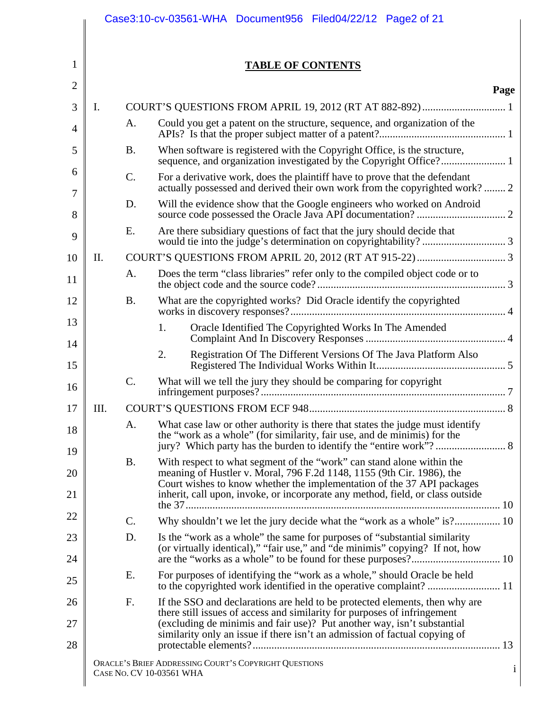|                |                          | Case3:10-cv-03561-WHA Document956 Filed04/22/12 Page2 of 21                                                                                               |              |
|----------------|--------------------------|-----------------------------------------------------------------------------------------------------------------------------------------------------------|--------------|
|                |                          |                                                                                                                                                           |              |
| 1              |                          | <b>TABLE OF CONTENTS</b>                                                                                                                                  |              |
| $\overline{2}$ |                          |                                                                                                                                                           | Page         |
| 3              | Ι.                       |                                                                                                                                                           |              |
| 4              | A.                       | Could you get a patent on the structure, sequence, and organization of the                                                                                |              |
| 5              | <b>B.</b>                | When software is registered with the Copyright Office, is the structure,                                                                                  |              |
| 6<br>7         | C.                       | For a derivative work, does the plaintiff have to prove that the defendant<br>actually possessed and derived their own work from the copyrighted work? 2  |              |
| 8              | D.                       | Will the evidence show that the Google engineers who worked on Android                                                                                    |              |
| 9              | E.                       | Are there subsidiary questions of fact that the jury should decide that                                                                                   |              |
| 10             | II.                      |                                                                                                                                                           |              |
| 11             | A.                       | Does the term "class libraries" refer only to the compiled object code or to                                                                              |              |
| 12             | <b>B.</b>                | What are the copyrighted works? Did Oracle identify the copyrighted                                                                                       |              |
| 13<br>14       |                          | Oracle Identified The Copyrighted Works In The Amended<br>1.                                                                                              |              |
| 15             |                          | 2.<br>Registration Of The Different Versions Of The Java Platform Also                                                                                    |              |
| 16             | C.                       | What will we tell the jury they should be comparing for copyright                                                                                         |              |
| 17             | Ш.                       | <b>COURT'S QUESTIONS FROM ECF 948.</b>                                                                                                                    |              |
| 18<br>19       | A.                       | What case law or other authority is there that states the judge must identify<br>the "work as a whole" (for similarity, fair use, and de minimis) for the |              |
| 20             | <b>B.</b>                | With respect to what segment of the "work" can stand alone within the<br>meaning of Hustler v. Moral, 796 F.2d 1148, 1155 (9th Cir. 1986), the            |              |
| 21             |                          | Court wishes to know whether the implementation of the 37 API packages<br>inherit, call upon, invoke, or incorporate any method, field, or class outside  |              |
| 22             | C.                       | Why shouldn't we let the jury decide what the "work as a whole" is? 10                                                                                    |              |
| 23             | D.                       | Is the "work as a whole" the same for purposes of "substantial similarity                                                                                 |              |
| 24             |                          | (or virtually identical)," "fair use," and "de minimis" copying? If not, how                                                                              |              |
| 25             | Ε.                       | For purposes of identifying the "work as a whole," should Oracle be held                                                                                  |              |
| 26             | F.                       | If the SSO and declarations are held to be protected elements, then why are<br>there still issues of access and similarity for purposes of infringement   |              |
| 27<br>28       |                          | (excluding de minimis and fair use)? Put another way, isn't substantial<br>similarity only an issue if there isn't an admission of factual copying of     |              |
|                | CASE NO. CV 10-03561 WHA | ORACLE'S BRIEF ADDRESSING COURT'S COPYRIGHT QUESTIONS                                                                                                     | $\mathbf{1}$ |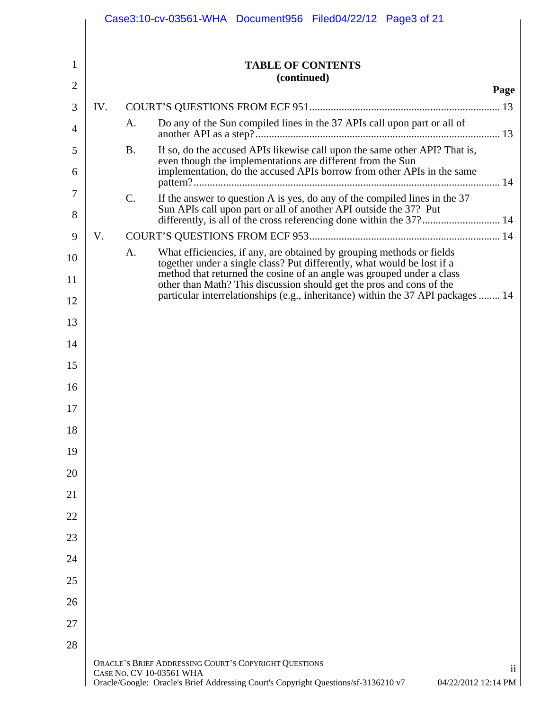|                |     | Case3:10-cv-03561-WHA Document956 Filed04/22/12 Page3 of 21                                                                                                                                    |      |
|----------------|-----|------------------------------------------------------------------------------------------------------------------------------------------------------------------------------------------------|------|
|                |     |                                                                                                                                                                                                |      |
| 1              |     | <b>TABLE OF CONTENTS</b>                                                                                                                                                                       |      |
| $\overline{2}$ |     | (continued)                                                                                                                                                                                    | Page |
| 3              | IV. |                                                                                                                                                                                                |      |
| 4              |     | Do any of the Sun compiled lines in the 37 APIs call upon part or all of<br>A.                                                                                                                 |      |
| 5              |     | If so, do the accused APIs likewise call upon the same other API? That is,<br><b>B.</b><br>even though the implementations are different from the Sun                                          |      |
| 6              |     | implementation, do the accused APIs borrow from other APIs in the same                                                                                                                         |      |
| 7              |     | C.<br>If the answer to question A is yes, do any of the compiled lines in the 37                                                                                                               |      |
| 8              |     | Sun APIs call upon part or all of another API outside the 37? Put<br>differently, is all of the cross referencing done within the 37? 14                                                       |      |
| 9              | V.  |                                                                                                                                                                                                |      |
| 10             |     | What efficiencies, if any, are obtained by grouping methods or fields<br>A.<br>together under a single class? Put differently, what would be lost if a                                         |      |
| 11             |     | method that returned the cosine of an angle was grouped under a class<br>other than Math? This discussion should get the pros and cons of the                                                  |      |
| 12             |     | particular interrelationships (e.g., inheritance) within the 37 API packages  14                                                                                                               |      |
| 13             |     |                                                                                                                                                                                                |      |
| 14             |     |                                                                                                                                                                                                |      |
| 15             |     |                                                                                                                                                                                                |      |
| 16             |     |                                                                                                                                                                                                |      |
| 17<br>18       |     |                                                                                                                                                                                                |      |
| 19             |     |                                                                                                                                                                                                |      |
| 20             |     |                                                                                                                                                                                                |      |
| 21             |     |                                                                                                                                                                                                |      |
| 22             |     |                                                                                                                                                                                                |      |
| 23             |     |                                                                                                                                                                                                |      |
| 24             |     |                                                                                                                                                                                                |      |
| 25             |     |                                                                                                                                                                                                |      |
| 26             |     |                                                                                                                                                                                                |      |
| 27             |     |                                                                                                                                                                                                |      |
| 28             |     |                                                                                                                                                                                                |      |
|                |     | ORACLE'S BRIEF ADDRESSING COURT'S COPYRIGHT QUESTIONS<br>CASE NO. CV 10-03561 WHA<br>Oracle/Google: Oracle's Brief Addressing Court's Copyright Questions/sf-3136210 v7<br>04/22/2012 12:14 PM | 11   |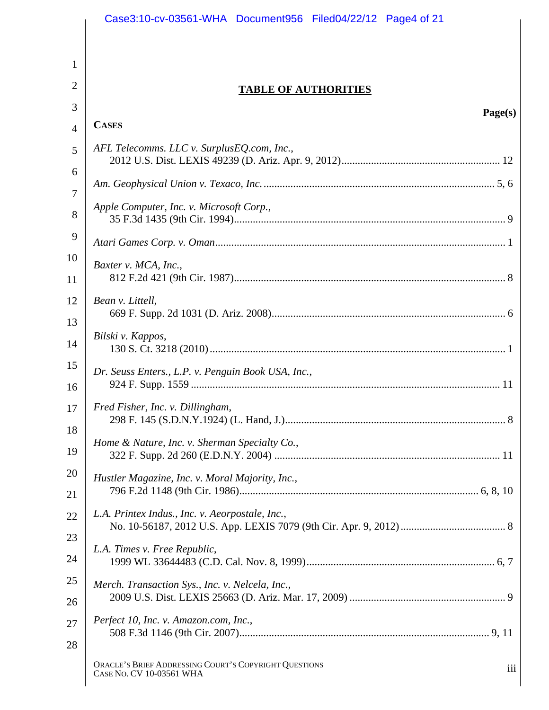|                | Case3:10-cv-03561-WHA Document956 Filed04/22/12 Page4 of 21                              |
|----------------|------------------------------------------------------------------------------------------|
|                |                                                                                          |
| 1              |                                                                                          |
| 2              | <b>TABLE OF AUTHORITIES</b>                                                              |
| 3              |                                                                                          |
| $\overline{4}$ | Page(s)<br><b>CASES</b>                                                                  |
| 5              | AFL Telecomms. LLC v. SurplusEQ.com, Inc.,                                               |
| 6              |                                                                                          |
| 7              |                                                                                          |
| 8              | Apple Computer, Inc. v. Microsoft Corp.,                                                 |
| 9              |                                                                                          |
| 10             | Baxter v. MCA, Inc.,                                                                     |
| 11             |                                                                                          |
| 12             | Bean v. Littell,                                                                         |
| 13             | Bilski v. Kappos,                                                                        |
| 14             |                                                                                          |
| 15<br>16       | Dr. Seuss Enters., L.P. v. Penguin Book USA, Inc.,                                       |
| 17             | Fred Fisher, Inc. v. Dillingham,                                                         |
| 18<br>19       | Home & Nature, Inc. v. Sherman Specialty Co.,                                            |
| 20             | Hustler Magazine, Inc. v. Moral Majority, Inc.,                                          |
| 21             |                                                                                          |
| 22             | L.A. Printex Indus., Inc. v. Aeorpostale, Inc.,                                          |
| 23             | L.A. Times v. Free Republic,                                                             |
| 24             |                                                                                          |
| 25             | Merch. Transaction Sys., Inc. v. Nelcela, Inc.,                                          |
| 26             |                                                                                          |
| 27             | Perfect 10, Inc. v. Amazon.com, Inc.,                                                    |
| 28             |                                                                                          |
|                | ORACLE'S BRIEF ADDRESSING COURT'S COPYRIGHT QUESTIONS<br>iii<br>CASE NO. CV 10-03561 WHA |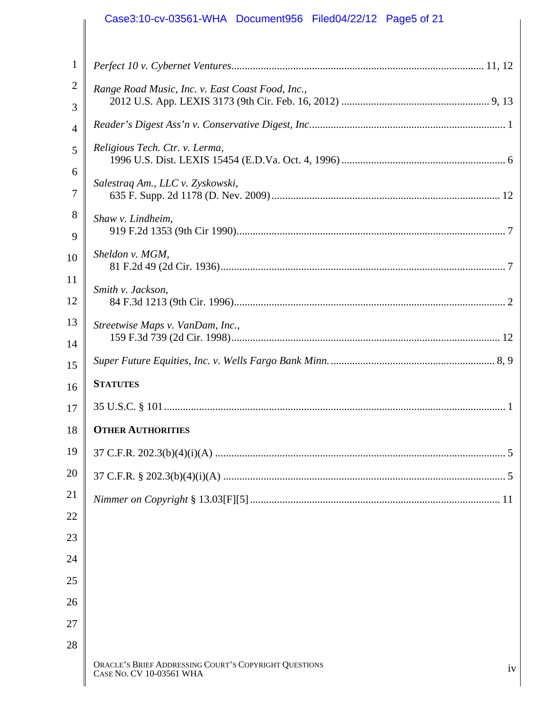## Case3:10-cv-03561-WHA Document956 Filed04/22/12 Page5 of 21

| 1                   |                                                                                         |
|---------------------|-----------------------------------------------------------------------------------------|
| $\overline{2}$<br>3 | Range Road Music, Inc. v. East Coast Food, Inc.,                                        |
| $\overline{4}$      |                                                                                         |
| 5                   | Religious Tech. Ctr. v. Lerma,                                                          |
| 6                   |                                                                                         |
| 7                   | Salestraq Am., LLC v. Zyskowski,                                                        |
| 8                   | Shaw v. Lindheim,                                                                       |
| 9                   |                                                                                         |
| 10                  | Sheldon v. MGM,                                                                         |
| 11                  | Smith v. Jackson,                                                                       |
| 12                  |                                                                                         |
| 13                  | Streetwise Maps v. VanDam, Inc.,                                                        |
| 14                  |                                                                                         |
| 15                  |                                                                                         |
| 16                  | <b>STATUTES</b>                                                                         |
| 17                  |                                                                                         |
| 18                  | <b>OTHER AUTHORITIES</b>                                                                |
| 19                  |                                                                                         |
| 20                  |                                                                                         |
| 21                  |                                                                                         |
| 22                  |                                                                                         |
| 23                  |                                                                                         |
| 24                  |                                                                                         |
| 25                  |                                                                                         |
| 26                  |                                                                                         |
| 27                  |                                                                                         |
| 28                  |                                                                                         |
|                     | ORACLE'S BRIEF ADDRESSING COURT'S COPYRIGHT QUESTIONS<br>iv<br>CASE No. CV 10-03561 WHA |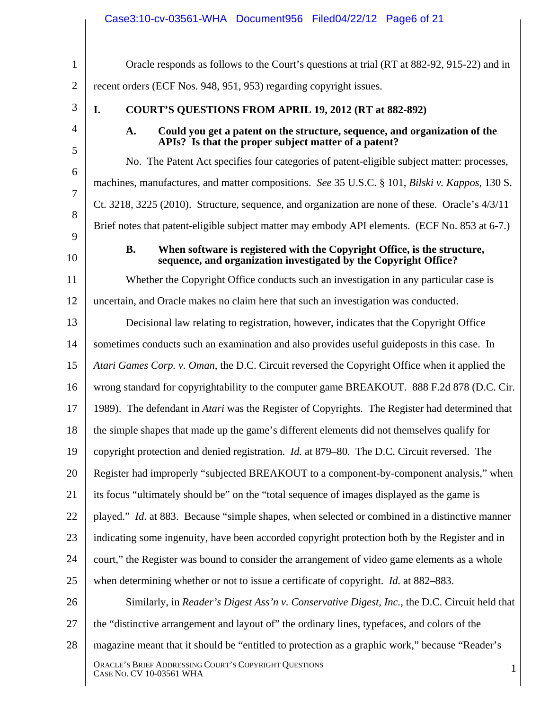|                | Case3:10-cv-03561-WHA Document956 Filed04/22/12 Page6 of 21                                                                                               |
|----------------|-----------------------------------------------------------------------------------------------------------------------------------------------------------|
| $\mathbf{1}$   | Oracle responds as follows to the Court's questions at trial (RT at 882-92, 915-22) and in                                                                |
| $\overline{2}$ | recent orders (ECF Nos. 948, 951, 953) regarding copyright issues.                                                                                        |
| 3              | I.<br><b>COURT'S QUESTIONS FROM APRIL 19, 2012 (RT at 882-892)</b>                                                                                        |
| 4              | Could you get a patent on the structure, sequence, and organization of the<br>A.<br>APIs? Is that the proper subject matter of a patent?                  |
| 5              | No. The Patent Act specifies four categories of patent-eligible subject matter: processes,                                                                |
| 6              | machines, manufactures, and matter compositions. See 35 U.S.C. § 101, Bilski v. Kappos, 130 S.                                                            |
| 7              | Ct. 3218, 3225 (2010). Structure, sequence, and organization are none of these. Oracle's 4/3/11                                                           |
| 8              | Brief notes that patent-eligible subject matter may embody API elements. (ECF No. 853 at 6-7.)                                                            |
| 9<br>10        | When software is registered with the Copyright Office, is the structure,<br><b>B.</b><br>sequence, and organization investigated by the Copyright Office? |
| 11             | Whether the Copyright Office conducts such an investigation in any particular case is                                                                     |
| 12             | uncertain, and Oracle makes no claim here that such an investigation was conducted.                                                                       |
| 13             | Decisional law relating to registration, however, indicates that the Copyright Office                                                                     |
| 14             | sometimes conducts such an examination and also provides useful guideposts in this case. In                                                               |
| 15             | Atari Games Corp. v. Oman, the D.C. Circuit reversed the Copyright Office when it applied the                                                             |
| 16             | wrong standard for copyrightability to the computer game BREAKOUT. 888 F.2d 878 (D.C. Cir.                                                                |
| 17             | 1989). The defendant in <i>Atari</i> was the Register of Copyrights. The Register had determined that                                                     |
| 18             | the simple shapes that made up the game's different elements did not themselves qualify for                                                               |
| 19             | copyright protection and denied registration. <i>Id.</i> at 879–80. The D.C. Circuit reversed. The                                                        |
| 20             | Register had improperly "subjected BREAKOUT to a component-by-component analysis," when                                                                   |
| 21             | its focus "ultimately should be" on the "total sequence of images displayed as the game is                                                                |
| 22             | played." Id. at 883. Because "simple shapes, when selected or combined in a distinctive manner                                                            |
| 23             | indicating some ingenuity, have been accorded copyright protection both by the Register and in                                                            |
| 24             | court," the Register was bound to consider the arrangement of video game elements as a whole                                                              |
| 25             | when determining whether or not to issue a certificate of copyright. <i>Id.</i> at 882–883.                                                               |
| 26             | Similarly, in Reader's Digest Ass'n v. Conservative Digest, Inc., the D.C. Circuit held that                                                              |
| 27             | the "distinctive arrangement and layout of" the ordinary lines, typefaces, and colors of the                                                              |
| 28             | magazine meant that it should be "entitled to protection as a graphic work," because "Reader's                                                            |
|                | ORACLE'S BRIEF ADDRESSING COURT'S COPYRIGHT QUESTIONS<br>$\mathbf{1}$<br>CASE NO. CV 10-03561 WHA                                                         |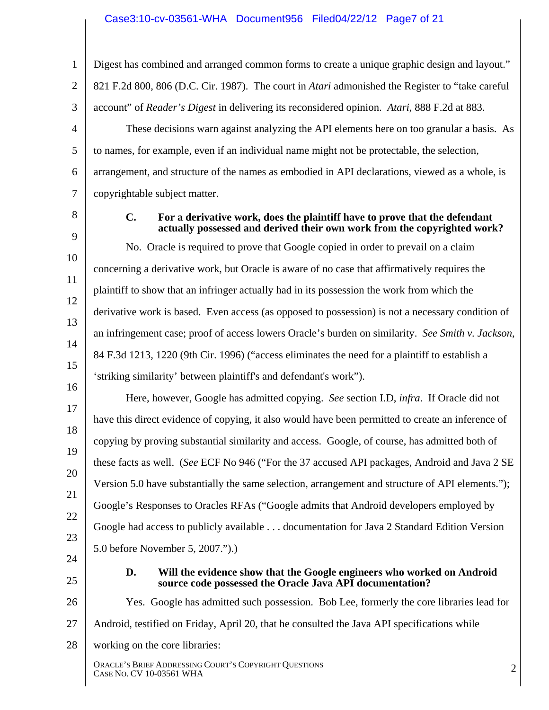#### Case3:10-cv-03561-WHA Document956 Filed04/22/12 Page7 of 21

1 2 3 4 5 6 7 8 9 10 11 12 13 14 15 16 17 18 19 20 21 22 23 24 25 26 27 28 ORACLE'S BRIEF ADDRESSING COURT'S COPYRIGHT QUESTIONS CASE NO. CV 10-03561 WHA 2 Digest has combined and arranged common forms to create a unique graphic design and layout." 821 F.2d 800, 806 (D.C. Cir. 1987). The court in *Atari* admonished the Register to "take careful account" of *Reader's Digest* in delivering its reconsidered opinion. *Atari*, 888 F.2d at 883. These decisions warn against analyzing the API elements here on too granular a basis. As to names, for example, even if an individual name might not be protectable, the selection, arrangement, and structure of the names as embodied in API declarations, viewed as a whole, is copyrightable subject matter. **C. For a derivative work, does the plaintiff have to prove that the defendant actually possessed and derived their own work from the copyrighted work?**  No. Oracle is required to prove that Google copied in order to prevail on a claim concerning a derivative work, but Oracle is aware of no case that affirmatively requires the plaintiff to show that an infringer actually had in its possession the work from which the derivative work is based. Even access (as opposed to possession) is not a necessary condition of an infringement case; proof of access lowers Oracle's burden on similarity. *See Smith v. Jackson*, 84 F.3d 1213, 1220 (9th Cir. 1996) ("access eliminates the need for a plaintiff to establish a 'striking similarity' between plaintiff's and defendant's work"). Here, however, Google has admitted copying. *See* section I.D, *infra*. If Oracle did not have this direct evidence of copying, it also would have been permitted to create an inference of copying by proving substantial similarity and access. Google, of course, has admitted both of these facts as well. (*See* ECF No 946 ("For the 37 accused API packages, Android and Java 2 SE Version 5.0 have substantially the same selection, arrangement and structure of API elements."); Google's Responses to Oracles RFAs ("Google admits that Android developers employed by Google had access to publicly available . . . documentation for Java 2 Standard Edition Version 5.0 before November 5, 2007.").) **D. Will the evidence show that the Google engineers who worked on Android source code possessed the Oracle Java API documentation?**  Yes. Google has admitted such possession. Bob Lee, formerly the core libraries lead for Android, testified on Friday, April 20, that he consulted the Java API specifications while working on the core libraries: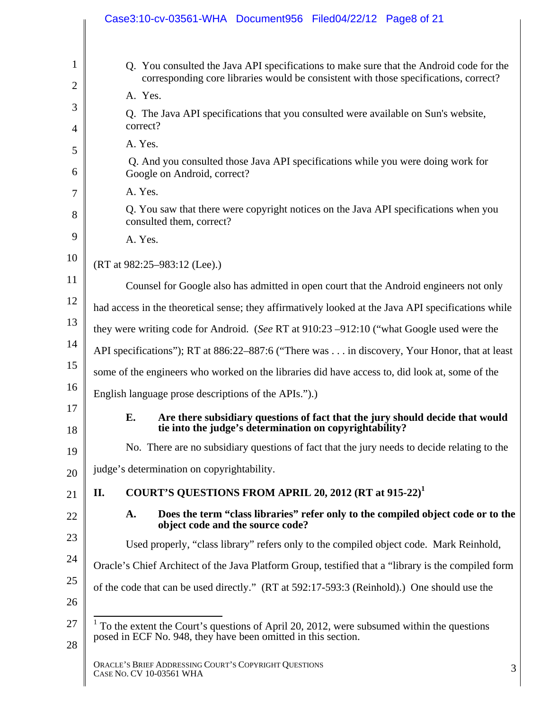|                | Case3:10-cv-03561-WHA Document956 Filed04/22/12 Page8 of 21                                                                                                                     |
|----------------|---------------------------------------------------------------------------------------------------------------------------------------------------------------------------------|
| $\mathbf{1}$   | Q. You consulted the Java API specifications to make sure that the Android code for the<br>corresponding core libraries would be consistent with those specifications, correct? |
| $\overline{2}$ | A. Yes.                                                                                                                                                                         |
| 3<br>4         | Q. The Java API specifications that you consulted were available on Sun's website,<br>correct?                                                                                  |
| 5              | A. Yes.                                                                                                                                                                         |
| 6              | Q. And you consulted those Java API specifications while you were doing work for<br>Google on Android, correct?                                                                 |
| 7              | A. Yes.                                                                                                                                                                         |
| 8              | Q. You saw that there were copyright notices on the Java API specifications when you<br>consulted them, correct?                                                                |
| 9              | A. Yes.                                                                                                                                                                         |
| 10             | (RT at 982:25-983:12 (Lee).)                                                                                                                                                    |
| 11             | Counsel for Google also has admitted in open court that the Android engineers not only                                                                                          |
| 12             | had access in the theoretical sense; they affirmatively looked at the Java API specifications while                                                                             |
| 13             | they were writing code for Android. (See RT at 910:23 -912:10 ("what Google used were the                                                                                       |
| 14             | API specifications"); RT at 886:22–887:6 ("There was in discovery, Your Honor, that at least                                                                                    |
| 15             | some of the engineers who worked on the libraries did have access to, did look at, some of the                                                                                  |
| 16             | English language prose descriptions of the APIs.").                                                                                                                             |
| 17<br>18       | Are there subsidiary questions of fact that the jury should decide that would<br>Е.<br>tie into the judge's determination on copyrightability?                                  |
| 19             | No. There are no subsidiary questions of fact that the jury needs to decide relating to the                                                                                     |
| 20             | judge's determination on copyrightability.                                                                                                                                      |
| 21             | COURT'S QUESTIONS FROM APRIL 20, 2012 (RT at 915-22) <sup>1</sup><br>П.                                                                                                         |
| 22             | Does the term "class libraries" refer only to the compiled object code or to the<br>A.<br>object code and the source code?                                                      |
| 23             | Used properly, "class library" refers only to the compiled object code. Mark Reinhold,                                                                                          |
| 24             | Oracle's Chief Architect of the Java Platform Group, testified that a "library is the compiled form                                                                             |
| 25<br>26       | of the code that can be used directly." (RT at 592:17-593:3 (Reinhold).) One should use the                                                                                     |
| 27<br>28       | $1$ To the extent the Court's questions of April 20, 2012, were subsumed within the questions<br>posed in ECF No. 948, they have been omitted in this section.                  |
|                | ORACLE'S BRIEF ADDRESSING COURT'S COPYRIGHT QUESTIONS<br>3<br>CASE NO. CV 10-03561 WHA                                                                                          |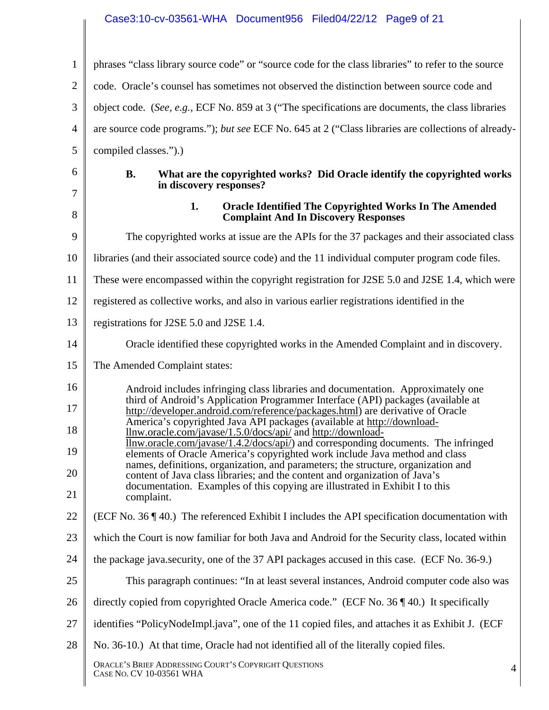# Case3:10-cv-03561-WHA Document956 Filed04/22/12 Page9 of 21

| $\mathbf{1}$   | phrases "class library source code" or "source code for the class libraries" to refer to the source                                                                  |
|----------------|----------------------------------------------------------------------------------------------------------------------------------------------------------------------|
| $\overline{2}$ | code. Oracle's counsel has sometimes not observed the distinction between source code and                                                                            |
| 3              | object code. (See, e.g., ECF No. 859 at 3 ("The specifications are documents, the class libraries                                                                    |
| 4              | are source code programs."); but see ECF No. 645 at 2 ("Class libraries are collections of already-                                                                  |
| 5              | compiled classes.").)                                                                                                                                                |
| 6<br>7         | <b>B.</b><br>What are the copyrighted works? Did Oracle identify the copyrighted works<br>in discovery responses?                                                    |
| 8              | 1.<br><b>Oracle Identified The Copyrighted Works In The Amended</b><br><b>Complaint And In Discovery Responses</b>                                                   |
| 9              | The copyrighted works at issue are the APIs for the 37 packages and their associated class                                                                           |
| 10             | libraries (and their associated source code) and the 11 individual computer program code files.                                                                      |
| 11             | These were encompassed within the copyright registration for J2SE 5.0 and J2SE 1.4, which were                                                                       |
| 12             | registered as collective works, and also in various earlier registrations identified in the                                                                          |
| 13             | registrations for J2SE 5.0 and J2SE 1.4.                                                                                                                             |
| 14             | Oracle identified these copyrighted works in the Amended Complaint and in discovery.                                                                                 |
| 15             | The Amended Complaint states:                                                                                                                                        |
| 16             | Android includes infringing class libraries and documentation. Approximately one<br>third of Android's Application Programmer Interface (API) packages (available at |
| 17             | http://developer.android.com/reference/packages.html) are derivative of Oracle<br>America's copyrighted Java API packages (available at http://download-             |
| 18             | <u>llnw.oracle.com/javase/1.5.0/docs/api/</u> and http://download-<br><u>llnw.oracle.com/javase/1.4.2/docs/api/</u> ) and corresponding documents. The infringed     |
| 19             | elements of Oracle America's copyrighted work include Java method and class<br>names, definitions, organization, and parameters; the structure, organization and     |
| 20             | content of Java class libraries; and the content and organization of Java's<br>documentation. Examples of this copying are illustrated in Exhibit I to this          |
| 21             | complaint.                                                                                                                                                           |
| 22             | (ECF No. 36 $\P$ 40.) The referenced Exhibit I includes the API specification documentation with                                                                     |
| 23             | which the Court is now familiar for both Java and Android for the Security class, located within                                                                     |
| 24             | the package java.security, one of the 37 API packages accused in this case. (ECF No. 36-9.)                                                                          |
| 25             | This paragraph continues: "In at least several instances, Android computer code also was                                                                             |
| 26             | directly copied from copyrighted Oracle America code." (ECF No. 36 ¶ 40.) It specifically                                                                            |
| 27             | identifies "PolicyNodeImpl.java", one of the 11 copied files, and attaches it as Exhibit J. (ECF                                                                     |
| 28             | No. 36-10.) At that time, Oracle had not identified all of the literally copied files.                                                                               |
|                | ORACLE'S BRIEF ADDRESSING COURT'S COPYRIGHT QUESTIONS<br>$\overline{4}$<br>CASE NO. CV 10-03561 WHA                                                                  |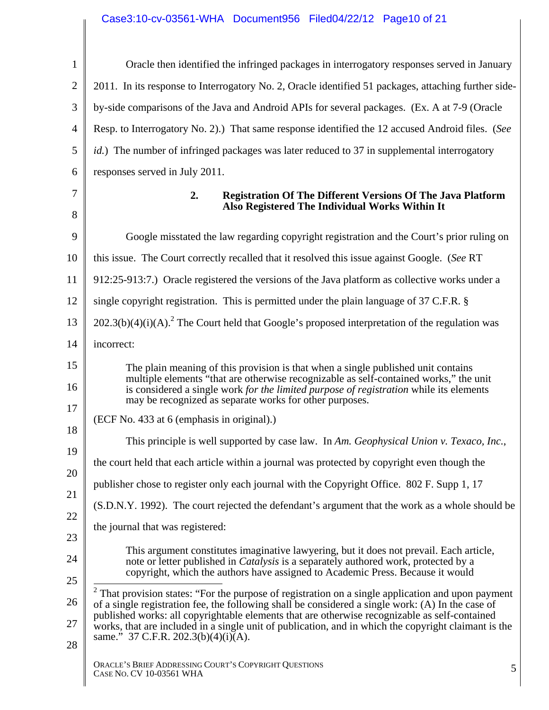# Case3:10-cv-03561-WHA Document956 Filed04/22/12 Page10 of 21

| $\mathbf{1}$   | Oracle then identified the infringed packages in interrogatory responses served in January                                                                                                                                                                                                                                      |
|----------------|---------------------------------------------------------------------------------------------------------------------------------------------------------------------------------------------------------------------------------------------------------------------------------------------------------------------------------|
| $\overline{2}$ | 2011. In its response to Interrogatory No. 2, Oracle identified 51 packages, attaching further side-                                                                                                                                                                                                                            |
| 3              | by-side comparisons of the Java and Android APIs for several packages. (Ex. A at 7-9 (Oracle                                                                                                                                                                                                                                    |
| $\overline{4}$ | Resp. to Interrogatory No. 2).) That same response identified the 12 accused Android files. (See                                                                                                                                                                                                                                |
| 5              | <i>id.</i> ) The number of infringed packages was later reduced to 37 in supplemental interrogatory                                                                                                                                                                                                                             |
| 6              | responses served in July 2011.                                                                                                                                                                                                                                                                                                  |
| 7<br>8         | 2.<br><b>Registration Of The Different Versions Of The Java Platform</b><br>Also Registered The Individual Works Within It                                                                                                                                                                                                      |
| 9              | Google misstated the law regarding copyright registration and the Court's prior ruling on                                                                                                                                                                                                                                       |
| 10             | this issue. The Court correctly recalled that it resolved this issue against Google. (See RT                                                                                                                                                                                                                                    |
| 11             | 912:25-913:7.) Oracle registered the versions of the Java platform as collective works under a                                                                                                                                                                                                                                  |
| 12             | single copyright registration. This is permitted under the plain language of 37 C.F.R. §                                                                                                                                                                                                                                        |
| 13             | $202.3(b)(4)(i)(A).$ <sup>2</sup> The Court held that Google's proposed interpretation of the regulation was                                                                                                                                                                                                                    |
| 14             | incorrect:                                                                                                                                                                                                                                                                                                                      |
| 15<br>16       | The plain meaning of this provision is that when a single published unit contains<br>multiple elements "that are otherwise recognizable as self-contained works," the unit<br>is considered a single work for the limited purpose of registration while its elements<br>may be recognized as separate works for other purposes. |
| 17             | (ECF No. 433 at 6 (emphasis in original).)                                                                                                                                                                                                                                                                                      |
| 18             | This principle is well supported by case law. In Am. Geophysical Union v. Texaco, Inc.,                                                                                                                                                                                                                                         |
| 19             | the court held that each article within a journal was protected by copyright even though the                                                                                                                                                                                                                                    |
| 20             | publisher chose to register only each journal with the Copyright Office. 802 F. Supp 1, 17                                                                                                                                                                                                                                      |
| 21             | (S.D.N.Y. 1992). The court rejected the defendant's argument that the work as a whole should be                                                                                                                                                                                                                                 |
| 22             | the journal that was registered:                                                                                                                                                                                                                                                                                                |
| 23<br>24       | This argument constitutes imaginative lawyering, but it does not prevail. Each article,<br>note or letter published in <i>Catalysis</i> is a separately authored work, protected by a                                                                                                                                           |
| 25             | copyright, which the authors have assigned to Academic Press. Because it would                                                                                                                                                                                                                                                  |
| 26             | $2$ That provision states: "For the purpose of registration on a single application and upon payment<br>of a single registration fee, the following shall be considered a single work: (A) In the case of                                                                                                                       |
| 27             | published works: all copyrightable elements that are otherwise recognizable as self-contained<br>works, that are included in a single unit of publication, and in which the copyright claimant is the<br>same." 37 C.F.R. 202.3(b)(4)(i)(A).                                                                                    |
| 28             | ORACLE'S BRIEF ADDRESSING COURT'S COPYRIGHT QUESTIONS<br>5<br>CASE NO. CV 10-03561 WHA                                                                                                                                                                                                                                          |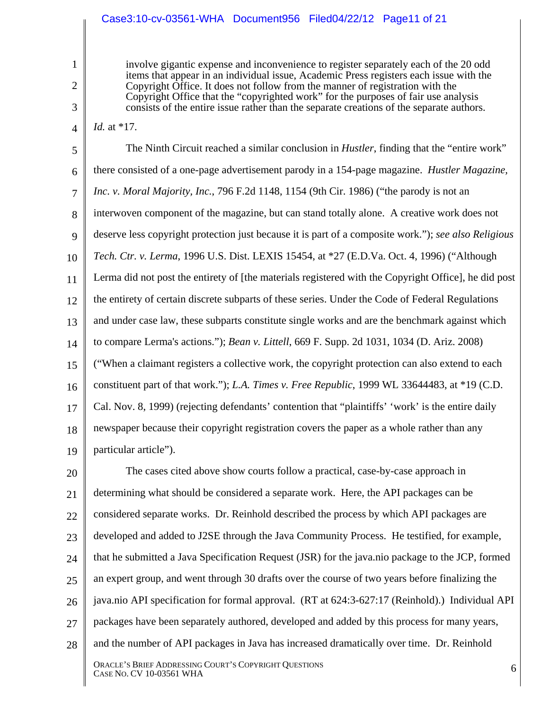### Case3:10-cv-03561-WHA Document956 Filed04/22/12 Page11 of 21

1

2

3

4

*Id.* at \*17.

involve gigantic expense and inconvenience to register separately each of the 20 odd items that appear in an individual issue, Academic Press registers each issue with the Copyright Office. It does not follow from the manner of registration with the Copyright Office that the "copyrighted work" for the purposes of fair use analysis consists of the entire issue rather than the separate creations of the separate authors.

5 6 7 8 9 10 11 12 13 14 15 16 17 18 19 The Ninth Circuit reached a similar conclusion in *Hustler*, finding that the "entire work" there consisted of a one-page advertisement parody in a 154-page magazine. *Hustler Magazine, Inc. v. Moral Majority, Inc.*, 796 F.2d 1148, 1154 (9th Cir. 1986) ("the parody is not an interwoven component of the magazine, but can stand totally alone. A creative work does not deserve less copyright protection just because it is part of a composite work."); *see also Religious Tech. Ctr. v. Lerma*, 1996 U.S. Dist. LEXIS 15454, at \*27 (E.D.Va. Oct. 4, 1996) ("Although Lerma did not post the entirety of [the materials registered with the Copyright Office], he did post the entirety of certain discrete subparts of these series. Under the Code of Federal Regulations and under case law, these subparts constitute single works and are the benchmark against which to compare Lerma's actions."); *Bean v. Littell*, 669 F. Supp. 2d 1031, 1034 (D. Ariz. 2008) ("When a claimant registers a collective work, the copyright protection can also extend to each constituent part of that work."); *L.A. Times v. Free Republic*, 1999 WL 33644483, at \*19 (C.D. Cal. Nov. 8, 1999) (rejecting defendants' contention that "plaintiffs' 'work' is the entire daily newspaper because their copyright registration covers the paper as a whole rather than any particular article").

20 21 22 23 24 25 26 27 28 The cases cited above show courts follow a practical, case-by-case approach in determining what should be considered a separate work. Here, the API packages can be considered separate works. Dr. Reinhold described the process by which API packages are developed and added to J2SE through the Java Community Process. He testified, for example, that he submitted a Java Specification Request (JSR) for the java.nio package to the JCP, formed an expert group, and went through 30 drafts over the course of two years before finalizing the java.nio API specification for formal approval. (RT at 624:3-627:17 (Reinhold).) Individual API packages have been separately authored, developed and added by this process for many years, and the number of API packages in Java has increased dramatically over time. Dr. Reinhold

ORACLE'S BRIEF ADDRESSING COURT'S COPYRIGHT QUESTIONS CASE NO. CV 10-03561 WHA 6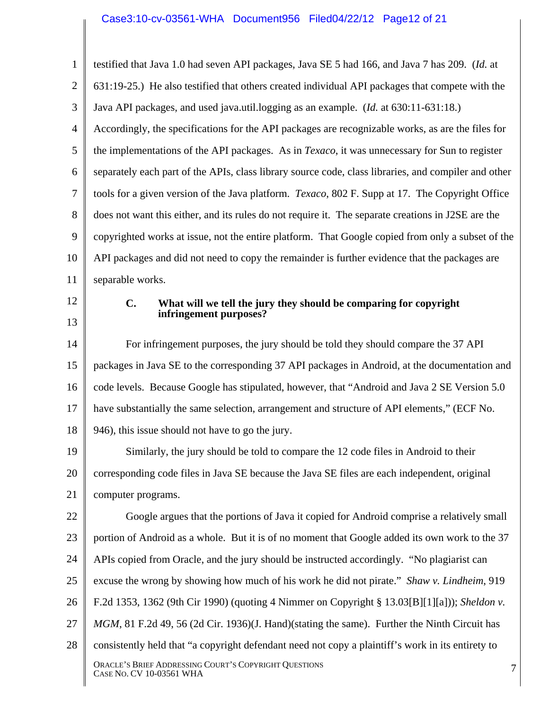1 2 3 4 5 6 7 8 9 10 11 12 13 14 15 16 17 18 19 20 21 22 23 24 25 26 27 28 ORACLE'S BRIEF ADDRESSING COURT'S COPYRIGHT QUESTIONS CASE NO. CV 10-03561 WHA 7 testified that Java 1.0 had seven API packages, Java SE 5 had 166, and Java 7 has 209. (*Id.* at 631:19-25.) He also testified that others created individual API packages that compete with the Java API packages, and used java.util.logging as an example. (*Id.* at 630:11-631:18.) Accordingly, the specifications for the API packages are recognizable works, as are the files for the implementations of the API packages. As in *Texaco*, it was unnecessary for Sun to register separately each part of the APIs, class library source code, class libraries, and compiler and other tools for a given version of the Java platform. *Texaco*, 802 F. Supp at 17. The Copyright Office does not want this either, and its rules do not require it. The separate creations in J2SE are the copyrighted works at issue, not the entire platform. That Google copied from only a subset of the API packages and did not need to copy the remainder is further evidence that the packages are separable works. **C. What will we tell the jury they should be comparing for copyright infringement purposes?**  For infringement purposes, the jury should be told they should compare the 37 API packages in Java SE to the corresponding 37 API packages in Android, at the documentation and code levels. Because Google has stipulated, however, that "Android and Java 2 SE Version 5.0 have substantially the same selection, arrangement and structure of API elements," (ECF No. 946), this issue should not have to go the jury. Similarly, the jury should be told to compare the 12 code files in Android to their corresponding code files in Java SE because the Java SE files are each independent, original computer programs. Google argues that the portions of Java it copied for Android comprise a relatively small portion of Android as a whole. But it is of no moment that Google added its own work to the 37 APIs copied from Oracle, and the jury should be instructed accordingly. "No plagiarist can excuse the wrong by showing how much of his work he did not pirate." *Shaw v. Lindheim*, 919 F.2d 1353, 1362 (9th Cir 1990) (quoting 4 Nimmer on Copyright § 13.03[B][1][a])); *Sheldon v. MGM*, 81 F.2d 49, 56 (2d Cir. 1936)(J. Hand)(stating the same). Further the Ninth Circuit has consistently held that "a copyright defendant need not copy a plaintiff's work in its entirety to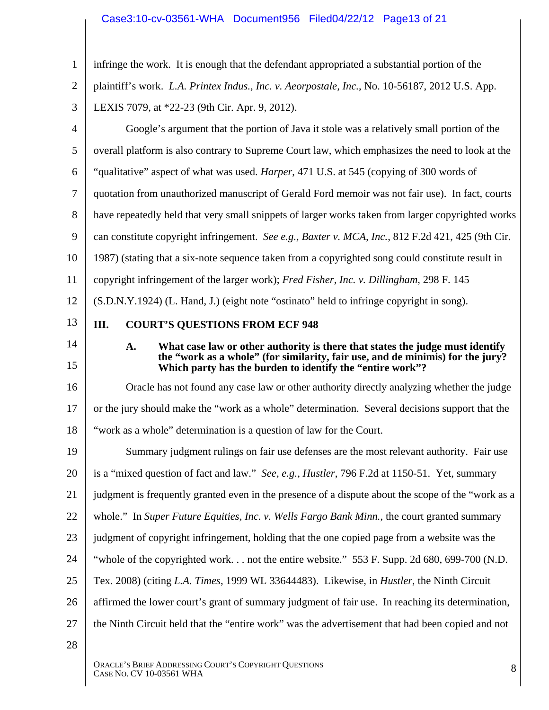### Case3:10-cv-03561-WHA Document956 Filed04/22/12 Page13 of 21

| $\mathbf{1}$   | infringe the work. It is enough that the defendant appropriated a substantial portion of the                                                |
|----------------|---------------------------------------------------------------------------------------------------------------------------------------------|
| $\overline{2}$ | plaintiff's work. L.A. Printex Indus., Inc. v. Aeorpostale, Inc., No. 10-56187, 2012 U.S. App.                                              |
| 3              | LEXIS 7079, at *22-23 (9th Cir. Apr. 9, 2012).                                                                                              |
| $\overline{4}$ | Google's argument that the portion of Java it stole was a relatively small portion of the                                                   |
| 5              | overall platform is also contrary to Supreme Court law, which emphasizes the need to look at the                                            |
| 6              | "qualitative" aspect of what was used. <i>Harper</i> , 471 U.S. at 545 (copying of 300 words of                                             |
| 7              | quotation from unauthorized manuscript of Gerald Ford memoir was not fair use). In fact, courts                                             |
| 8              | have repeatedly held that very small snippets of larger works taken from larger copyrighted works                                           |
| 9              | can constitute copyright infringement. See e.g., Baxter v. MCA, Inc., 812 F.2d 421, 425 (9th Cir.                                           |
| 10             | 1987) (stating that a six-note sequence taken from a copyrighted song could constitute result in                                            |
| 11             | copyright infringement of the larger work); Fred Fisher, Inc. v. Dillingham, 298 F. 145                                                     |
| 12             | (S.D.N.Y.1924) (L. Hand, J.) (eight note "ostinato" held to infringe copyright in song).                                                    |
| 13             | <b>COURT'S QUESTIONS FROM ECF 948</b><br>III.                                                                                               |
| 14             | What case law or other authority is there that states the judge must identify<br>A.                                                         |
| 15             | the "work as a whole" (for similarity, fair use, and de minimis) for the jury?<br>Which party has the burden to identify the "entire work"? |
| 16             | Oracle has not found any case law or other authority directly analyzing whether the judge                                                   |
| 17             | or the jury should make the "work as a whole" determination. Several decisions support that the                                             |
| 18             | "work as a whole" determination is a question of law for the Court.                                                                         |
| 19             | Summary judgment rulings on fair use defenses are the most relevant authority. Fair use                                                     |
| 20             | is a "mixed question of fact and law." See, e.g., Hustler, 796 F.2d at 1150-51. Yet, summary                                                |
| 21             | judgment is frequently granted even in the presence of a dispute about the scope of the "work as a                                          |
| 22             | whole." In Super Future Equities, Inc. v. Wells Fargo Bank Minn., the court granted summary                                                 |
| 23             | judgment of copyright infringement, holding that the one copied page from a website was the                                                 |
| 24             | "whole of the copyrighted work not the entire website." 553 F. Supp. 2d 680, 699-700 (N.D.                                                  |
| 25             | Tex. 2008) (citing L.A. Times, 1999 WL 33644483). Likewise, in <i>Hustler</i> , the Ninth Circuit                                           |
| 26             | affirmed the lower court's grant of summary judgment of fair use. In reaching its determination,                                            |
| 27             | the Ninth Circuit held that the "entire work" was the advertisement that had been copied and not                                            |
| 28             |                                                                                                                                             |
|                |                                                                                                                                             |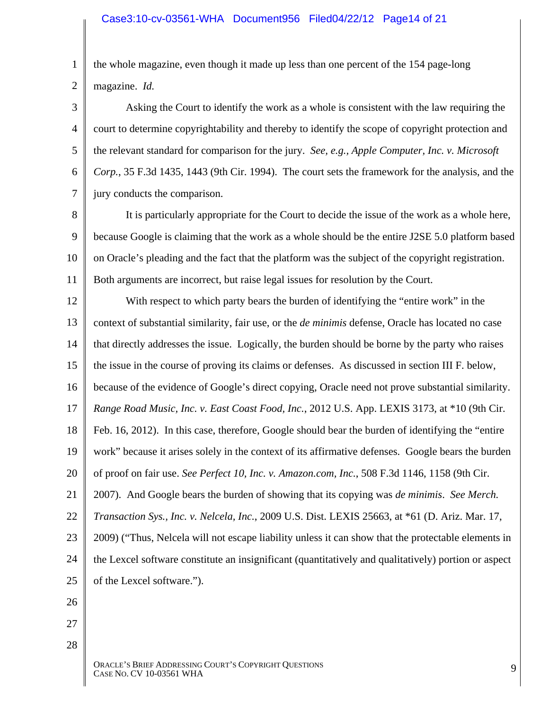1 2 the whole magazine, even though it made up less than one percent of the 154 page-long magazine. *Id.*

3 4 5 6 7 Asking the Court to identify the work as a whole is consistent with the law requiring the court to determine copyrightability and thereby to identify the scope of copyright protection and the relevant standard for comparison for the jury. *See, e.g., Apple Computer, Inc. v. Microsoft Corp.*, 35 F.3d 1435, 1443 (9th Cir. 1994). The court sets the framework for the analysis, and the jury conducts the comparison.

8 9 10 11 It is particularly appropriate for the Court to decide the issue of the work as a whole here, because Google is claiming that the work as a whole should be the entire J2SE 5.0 platform based on Oracle's pleading and the fact that the platform was the subject of the copyright registration. Both arguments are incorrect, but raise legal issues for resolution by the Court.

12 13 14 15 16 17 18 19 20 21 22 23 24 25 With respect to which party bears the burden of identifying the "entire work" in the context of substantial similarity, fair use, or the *de minimis* defense, Oracle has located no case that directly addresses the issue. Logically, the burden should be borne by the party who raises the issue in the course of proving its claims or defenses. As discussed in section III F. below, because of the evidence of Google's direct copying, Oracle need not prove substantial similarity. *Range Road Music, Inc. v. East Coast Food, Inc.*, 2012 U.S. App. LEXIS 3173, at \*10 (9th Cir. Feb. 16, 2012). In this case, therefore, Google should bear the burden of identifying the "entire work" because it arises solely in the context of its affirmative defenses. Google bears the burden of proof on fair use. *See Perfect 10, Inc. v. Amazon.com, Inc.*, 508 F.3d 1146, 1158 (9th Cir. 2007). And Google bears the burden of showing that its copying was *de minimis*. *See Merch. Transaction Sys., Inc. v. Nelcela, Inc.*, 2009 U.S. Dist. LEXIS 25663, at \*61 (D. Ariz. Mar. 17, 2009) ("Thus, Nelcela will not escape liability unless it can show that the protectable elements in the Lexcel software constitute an insignificant (quantitatively and qualitatively) portion or aspect of the Lexcel software.").

- 26
- 27 28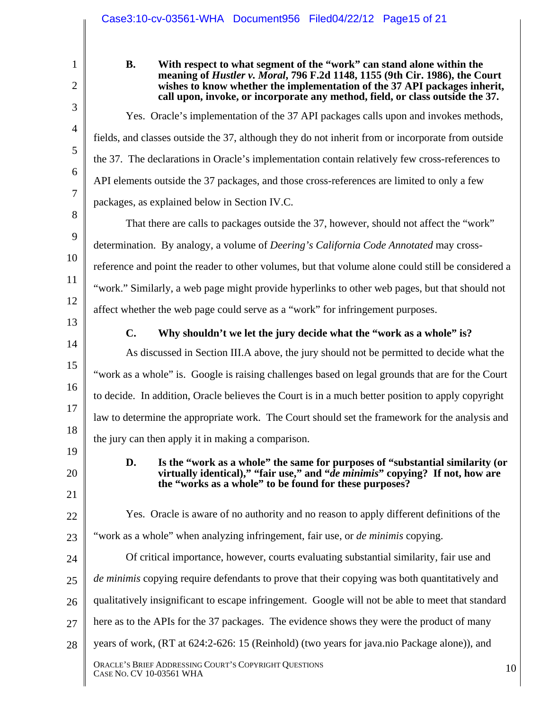|                                                    | Case3:10-cv-03561-WHA Document956 Filed04/22/12 Page15 of 21                                                                                                                                                                                                                                                                                                                                                                                                                                                                                                                                                                                                                                                                              |
|----------------------------------------------------|-------------------------------------------------------------------------------------------------------------------------------------------------------------------------------------------------------------------------------------------------------------------------------------------------------------------------------------------------------------------------------------------------------------------------------------------------------------------------------------------------------------------------------------------------------------------------------------------------------------------------------------------------------------------------------------------------------------------------------------------|
| 1<br>$\overline{2}$                                | <b>B.</b><br>With respect to what segment of the "work" can stand alone within the<br>meaning of <i>Hustler v. Moral</i> , 796 F.2d 1148, 1155 (9th Cir. 1986), the Court<br>wishes to know whether the implementation of the 37 API packages inherit,<br>call upon, invoke, or incorporate any method, field, or class outside the 37.                                                                                                                                                                                                                                                                                                                                                                                                   |
| 3<br>$\overline{4}$<br>5<br>6<br>7<br>8<br>9<br>10 | Yes. Oracle's implementation of the 37 API packages calls upon and invokes methods,<br>fields, and classes outside the 37, although they do not inherit from or incorporate from outside<br>the 37. The declarations in Oracle's implementation contain relatively few cross-references to<br>API elements outside the 37 packages, and those cross-references are limited to only a few<br>packages, as explained below in Section IV.C.<br>That there are calls to packages outside the 37, however, should not affect the "work"<br>determination. By analogy, a volume of <i>Deering's California Code Annotated</i> may cross-<br>reference and point the reader to other volumes, but that volume alone could still be considered a |
| 11<br>12<br>13<br>14<br>15<br>16                   | "work." Similarly, a web page might provide hyperlinks to other web pages, but that should not<br>affect whether the web page could serve as a "work" for infringement purposes.<br>$\mathbf{C}$ .<br>Why shouldn't we let the jury decide what the "work as a whole" is?<br>As discussed in Section III.A above, the jury should not be permitted to decide what the<br>"work as a whole" is. Google is raising challenges based on legal grounds that are for the Court<br>to decide. In addition, Oracle believes the Court is in a much better position to apply copyright                                                                                                                                                            |
| 17<br>18<br>19<br>20<br>21                         | law to determine the appropriate work. The Court should set the framework for the analysis and<br>the jury can then apply it in making a comparison.<br>D.<br>Is the "work as a whole" the same for purposes of "substantial similarity (or<br>virtually identical)," "fair use," and " <i>de minimis</i> " copying? If not, how are<br>the "works as a whole" to be found for these purposes?                                                                                                                                                                                                                                                                                                                                            |
| 22<br>23<br>24<br>25<br>26<br>27<br>28             | Yes. Oracle is aware of no authority and no reason to apply different definitions of the<br>"work as a whole" when analyzing infringement, fair use, or <i>de minimis</i> copying.<br>Of critical importance, however, courts evaluating substantial similarity, fair use and<br>de minimis copying require defendants to prove that their copying was both quantitatively and<br>qualitatively insignificant to escape infringement. Google will not be able to meet that standard<br>here as to the APIs for the 37 packages. The evidence shows they were the product of many<br>years of work, (RT at 624:2-626: 15 (Reinhold) (two years for java.nio Package alone)), and                                                           |
|                                                    | ORACLE'S BRIEF ADDRESSING COURT'S COPYRIGHT QUESTIONS<br>10<br>CASE No. CV 10-03561 WHA                                                                                                                                                                                                                                                                                                                                                                                                                                                                                                                                                                                                                                                   |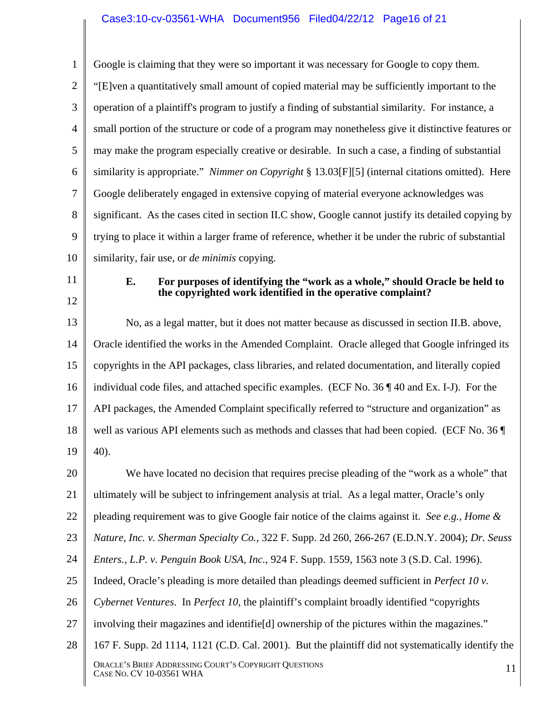### Case3:10-cv-03561-WHA Document956 Filed04/22/12 Page16 of 21

1 2 3 4 5 6 7 8 9 10 Google is claiming that they were so important it was necessary for Google to copy them. "[E]ven a quantitatively small amount of copied material may be sufficiently important to the operation of a plaintiff's program to justify a finding of substantial similarity. For instance, a small portion of the structure or code of a program may nonetheless give it distinctive features or may make the program especially creative or desirable. In such a case, a finding of substantial similarity is appropriate." *Nimmer on Copyright* § 13.03[F][5] (internal citations omitted). Here Google deliberately engaged in extensive copying of material everyone acknowledges was significant. As the cases cited in section II.C show, Google cannot justify its detailed copying by trying to place it within a larger frame of reference, whether it be under the rubric of substantial similarity, fair use, or *de minimis* copying.

- 11
- 12

#### **E. For purposes of identifying the "work as a whole," should Oracle be held to the copyrighted work identified in the operative complaint?**

13 14 15 16 17 18 19 No, as a legal matter, but it does not matter because as discussed in section II.B. above, Oracle identified the works in the Amended Complaint. Oracle alleged that Google infringed its copyrights in the API packages, class libraries, and related documentation, and literally copied individual code files, and attached specific examples. (ECF No. 36 ¶ 40 and Ex. I-J). For the API packages, the Amended Complaint specifically referred to "structure and organization" as well as various API elements such as methods and classes that had been copied. (ECF No. 36 40).

20 21 22 23 24 25 26 27 28 We have located no decision that requires precise pleading of the "work as a whole" that ultimately will be subject to infringement analysis at trial. As a legal matter, Oracle's only pleading requirement was to give Google fair notice of the claims against it. *See e.g., Home & Nature, Inc. v. Sherman Specialty Co.*, 322 F. Supp. 2d 260, 266-267 (E.D.N.Y. 2004); *Dr. Seuss Enters., L.P. v. Penguin Book USA, Inc.*, 924 F. Supp. 1559, 1563 note 3 (S.D. Cal. 1996). Indeed, Oracle's pleading is more detailed than pleadings deemed sufficient in *Perfect 10 v. Cybernet Ventures*. In *Perfect 10*, the plaintiff's complaint broadly identified "copyrights involving their magazines and identifie[d] ownership of the pictures within the magazines." 167 F. Supp. 2d 1114, 1121 (C.D. Cal. 2001). But the plaintiff did not systematically identify the

ORACLE'S BRIEF ADDRESSING COURT'S COPYRIGHT QUESTIONS CASE NO. CV 10-03561 WHA 11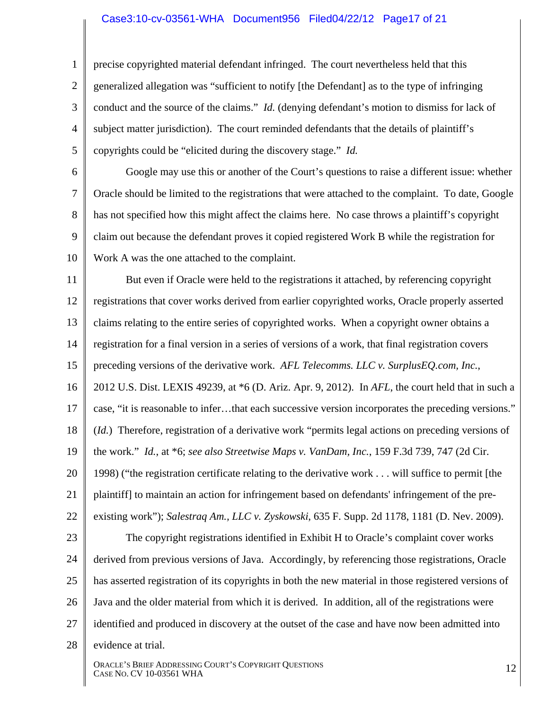#### Case3:10-cv-03561-WHA Document956 Filed04/22/12 Page17 of 21

1 2 3 4 5 precise copyrighted material defendant infringed. The court nevertheless held that this generalized allegation was "sufficient to notify [the Defendant] as to the type of infringing conduct and the source of the claims." *Id.* (denying defendant's motion to dismiss for lack of subject matter jurisdiction). The court reminded defendants that the details of plaintiff's copyrights could be "elicited during the discovery stage." *Id.* 

6 7 8 9 10 Google may use this or another of the Court's questions to raise a different issue: whether Oracle should be limited to the registrations that were attached to the complaint. To date, Google has not specified how this might affect the claims here. No case throws a plaintiff's copyright claim out because the defendant proves it copied registered Work B while the registration for Work A was the one attached to the complaint.

11 12 13 14 15 But even if Oracle were held to the registrations it attached, by referencing copyright registrations that cover works derived from earlier copyrighted works, Oracle properly asserted claims relating to the entire series of copyrighted works. When a copyright owner obtains a registration for a final version in a series of versions of a work, that final registration covers preceding versions of the derivative work. *AFL Telecomms. LLC v. SurplusEQ.com, Inc.*,

16 17 18 19 2012 U.S. Dist. LEXIS 49239, at \*6 (D. Ariz. Apr. 9, 2012). In *AFL*, the court held that in such a case, "it is reasonable to infer…that each successive version incorporates the preceding versions." (*Id.*) Therefore, registration of a derivative work "permits legal actions on preceding versions of the work." *Id.*, at \*6; *see also Streetwise Maps v. VanDam, Inc.*, 159 F.3d 739, 747 (2d Cir.

20 21 1998) ("the registration certificate relating to the derivative work . . . will suffice to permit [the plaintiff] to maintain an action for infringement based on defendants' infringement of the pre-

- 22 existing work"); *Salestraq Am., LLC v. Zyskowski*, 635 F. Supp. 2d 1178, 1181 (D. Nev. 2009).
- 23 24 25 26 27 The copyright registrations identified in Exhibit H to Oracle's complaint cover works derived from previous versions of Java. Accordingly, by referencing those registrations, Oracle has asserted registration of its copyrights in both the new material in those registered versions of Java and the older material from which it is derived. In addition, all of the registrations were identified and produced in discovery at the outset of the case and have now been admitted into
- 28 evidence at trial.

ORACLE'S BRIEF ADDRESSING COURT'S COPYRIGHT QUESTIONS CASE NO. CV 10-03561 WHA 12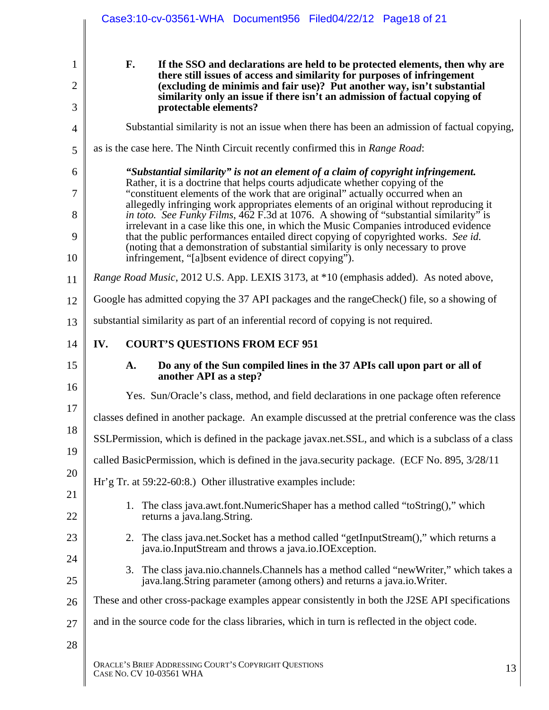|                      | Case3:10-cv-03561-WHA Document956 Filed04/22/12 Page18 of 21                                                                                                                         |
|----------------------|--------------------------------------------------------------------------------------------------------------------------------------------------------------------------------------|
| 1                    | F.<br>If the SSO and declarations are held to be protected elements, then why are                                                                                                    |
| $\overline{2}$       | there still issues of access and similarity for purposes of infringement<br>(excluding de minimis and fair use)? Put another way, isn't substantial                                  |
| 3                    | similarity only an issue if there isn't an admission of factual copying of<br>protectable elements?                                                                                  |
| $\overline{4}$       | Substantial similarity is not an issue when there has been an admission of factual copying,                                                                                          |
| 5                    | as is the case here. The Ninth Circuit recently confirmed this in Range Road:                                                                                                        |
| 6                    | "Substantial similarity" is not an element of a claim of copyright infringement.                                                                                                     |
| 7                    | Rather, it is a doctrine that helps courts adjudicate whether copying of the<br>"constituent elements of the work that are original" actually occurred when an                       |
| 8                    | allegedly infringing work appropriates elements of an original without reproducing it<br><i>in toto. See Funky Films,</i> 462 F.3d at 1076. A showing of "substantial similarity" is |
| 9                    | irrelevant in a case like this one, in which the Music Companies introduced evidence<br>that the public performances entailed direct copying of copyrighted works. See id.           |
| 10                   | (noting that a demonstration of substantial similarity is only necessary to prove<br>infringement, "[a]bsent evidence of direct copying").                                           |
| 11                   | Range Road Music, 2012 U.S. App. LEXIS 3173, at *10 (emphasis added). As noted above,                                                                                                |
| 12                   | Google has admitted copying the 37 API packages and the range Check() file, so a showing of                                                                                          |
| 13                   | substantial similarity as part of an inferential record of copying is not required.                                                                                                  |
| 14                   | <b>COURT'S QUESTIONS FROM ECF 951</b><br>IV.                                                                                                                                         |
| 15                   | Do any of the Sun compiled lines in the 37 APIs call upon part or all of<br>A.                                                                                                       |
|                      | another API as a step?                                                                                                                                                               |
|                      | Yes. Sun/Oracle's class, method, and field declarations in one package often reference                                                                                               |
| 16<br>17             | classes defined in another package. An example discussed at the pretrial conference was the class                                                                                    |
| 18                   | SSLPermission, which is defined in the package javax.net.SSL, and which is a subclass of a class                                                                                     |
| 19                   | called BasicPermission, which is defined in the java.security package. (ECF No. 895, 3/28/11)                                                                                        |
|                      | Hr'g Tr. at $59:22-60:8$ .) Other illustrative examples include:                                                                                                                     |
|                      | 1. The class java.awt.font.NumericShaper has a method called "toString()," which<br>returns a java.lang.String.                                                                      |
| 20<br>21<br>22<br>23 | 2. The class java.net.Socket has a method called "getInputStream()," which returns a<br>java.io.InputStream and throws a java.io.IOException.                                        |
|                      | 3. The class java.nio.channels.Channels has a method called "new Writer," which takes a<br>java.lang.String parameter (among others) and returns a java.io.Writer.                   |
|                      | These and other cross-package examples appear consistently in both the J2SE API specifications                                                                                       |
| 24<br>25<br>26<br>27 | and in the source code for the class libraries, which in turn is reflected in the object code.                                                                                       |
| 28                   |                                                                                                                                                                                      |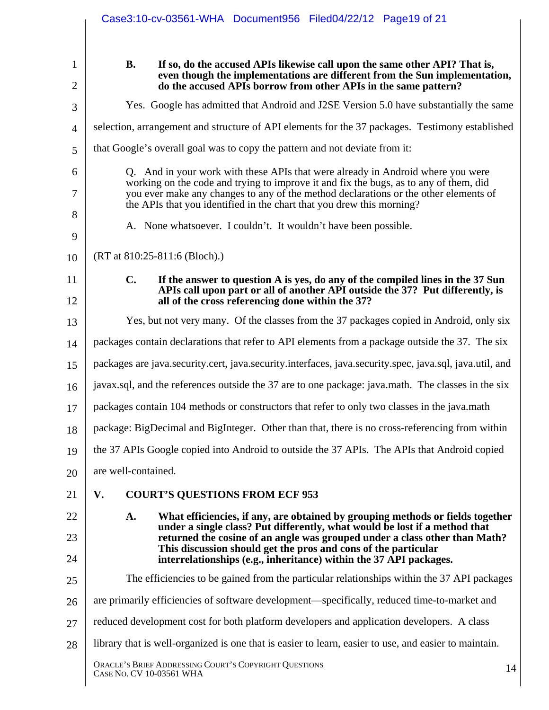|                | Case3:10-cv-03561-WHA Document956 Filed04/22/12 Page19 of 21                                                                                                                                                                                                                                                                              |  |  |  |  |  |  |
|----------------|-------------------------------------------------------------------------------------------------------------------------------------------------------------------------------------------------------------------------------------------------------------------------------------------------------------------------------------------|--|--|--|--|--|--|
| 1              | <b>B.</b><br>If so, do the accused APIs likewise call upon the same other API? That is,                                                                                                                                                                                                                                                   |  |  |  |  |  |  |
| $\overline{2}$ | even though the implementations are different from the Sun implementation,<br>do the accused APIs borrow from other APIs in the same pattern?                                                                                                                                                                                             |  |  |  |  |  |  |
| 3              | Yes. Google has admitted that Android and J2SE Version 5.0 have substantially the same                                                                                                                                                                                                                                                    |  |  |  |  |  |  |
| $\overline{4}$ | selection, arrangement and structure of API elements for the 37 packages. Testimony established                                                                                                                                                                                                                                           |  |  |  |  |  |  |
| 5              | that Google's overall goal was to copy the pattern and not deviate from it:                                                                                                                                                                                                                                                               |  |  |  |  |  |  |
| 6<br>7         | Q. And in your work with these APIs that were already in Android where you were<br>working on the code and trying to improve it and fix the bugs, as to any of them, did<br>you ever make any changes to any of the method declarations or the other elements of<br>the APIs that you identified in the chart that you drew this morning? |  |  |  |  |  |  |
| 8<br>9         | A. None whatsoever. I couldn't. It wouldn't have been possible.                                                                                                                                                                                                                                                                           |  |  |  |  |  |  |
| 10             | (RT at 810:25-811:6 (Bloch).)                                                                                                                                                                                                                                                                                                             |  |  |  |  |  |  |
| 11<br>12       | $\mathbf{C}$ .<br>If the answer to question A is yes, do any of the compiled lines in the 37 Sun<br>APIs call upon part or all of another API outside the 37? Put differently, is<br>all of the cross referencing done within the 37?                                                                                                     |  |  |  |  |  |  |
| 13             | Yes, but not very many. Of the classes from the 37 packages copied in Android, only six                                                                                                                                                                                                                                                   |  |  |  |  |  |  |
| 14             | packages contain declarations that refer to API elements from a package outside the 37. The six                                                                                                                                                                                                                                           |  |  |  |  |  |  |
| 15             | packages are java.security.cert, java.security.interfaces, java.security.spec, java.sql, java.util, and                                                                                                                                                                                                                                   |  |  |  |  |  |  |
| 16             | javax.sql, and the references outside the 37 are to one package: java.math. The classes in the six                                                                                                                                                                                                                                        |  |  |  |  |  |  |
| 17             | packages contain 104 methods or constructors that refer to only two classes in the java.math                                                                                                                                                                                                                                              |  |  |  |  |  |  |
| 18             | package: BigDecimal and BigInteger. Other than that, there is no cross-referencing from within                                                                                                                                                                                                                                            |  |  |  |  |  |  |
| 19             | the 37 APIs Google copied into Android to outside the 37 APIs. The APIs that Android copied                                                                                                                                                                                                                                               |  |  |  |  |  |  |
| 20             | are well-contained.                                                                                                                                                                                                                                                                                                                       |  |  |  |  |  |  |
| 21             | <b>COURT'S QUESTIONS FROM ECF 953</b><br>V.                                                                                                                                                                                                                                                                                               |  |  |  |  |  |  |
| 22             | A.<br>What efficiencies, if any, are obtained by grouping methods or fields together<br>under a single class? Put differently, what would be lost if a method that                                                                                                                                                                        |  |  |  |  |  |  |
| 23<br>24       | returned the cosine of an angle was grouped under a class other than Math?<br>This discussion should get the pros and cons of the particular<br>interrelationships (e.g., inheritance) within the 37 API packages.                                                                                                                        |  |  |  |  |  |  |
| 25             | The efficiencies to be gained from the particular relationships within the 37 API packages                                                                                                                                                                                                                                                |  |  |  |  |  |  |
| 26             | are primarily efficiencies of software development—specifically, reduced time-to-market and                                                                                                                                                                                                                                               |  |  |  |  |  |  |
| 27             | reduced development cost for both platform developers and application developers. A class                                                                                                                                                                                                                                                 |  |  |  |  |  |  |
| 28             | library that is well-organized is one that is easier to learn, easier to use, and easier to maintain.                                                                                                                                                                                                                                     |  |  |  |  |  |  |
|                | ORACLE'S BRIEF ADDRESSING COURT'S COPYRIGHT QUESTIONS<br>14<br>CASE NO. CV 10-03561 WHA                                                                                                                                                                                                                                                   |  |  |  |  |  |  |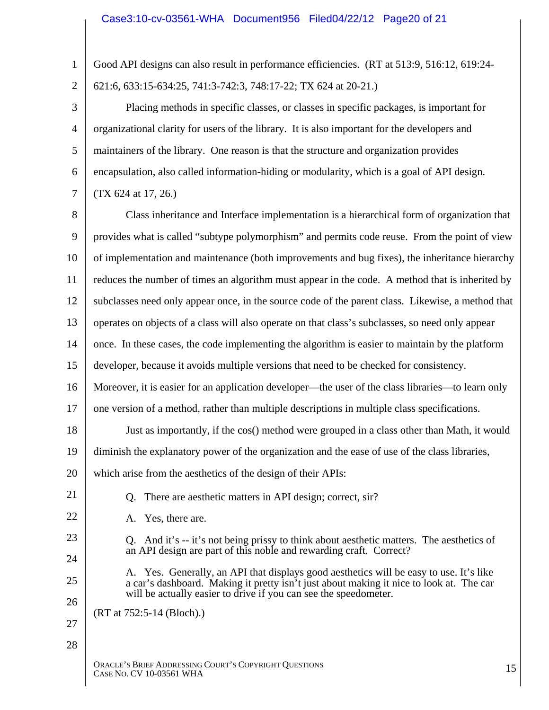| $\mathbf{1}$   | Good API designs can also result in performance efficiencies. (RT at 513:9, 516:12, 619:24-                                                                                                                                                           |  |  |  |  |  |  |
|----------------|-------------------------------------------------------------------------------------------------------------------------------------------------------------------------------------------------------------------------------------------------------|--|--|--|--|--|--|
| $\overline{2}$ | 621:6, 633:15-634:25, 741:3-742:3, 748:17-22; TX 624 at 20-21.)                                                                                                                                                                                       |  |  |  |  |  |  |
| 3              | Placing methods in specific classes, or classes in specific packages, is important for                                                                                                                                                                |  |  |  |  |  |  |
| $\overline{4}$ | organizational clarity for users of the library. It is also important for the developers and                                                                                                                                                          |  |  |  |  |  |  |
| 5              | maintainers of the library. One reason is that the structure and organization provides                                                                                                                                                                |  |  |  |  |  |  |
| 6              | encapsulation, also called information-hiding or modularity, which is a goal of API design.                                                                                                                                                           |  |  |  |  |  |  |
| $\overline{7}$ | (TX 624 at 17, 26.)                                                                                                                                                                                                                                   |  |  |  |  |  |  |
| 8              | Class inheritance and Interface implementation is a hierarchical form of organization that                                                                                                                                                            |  |  |  |  |  |  |
| 9              | provides what is called "subtype polymorphism" and permits code reuse. From the point of view                                                                                                                                                         |  |  |  |  |  |  |
| 10             | of implementation and maintenance (both improvements and bug fixes), the inheritance hierarchy                                                                                                                                                        |  |  |  |  |  |  |
| 11             | reduces the number of times an algorithm must appear in the code. A method that is inherited by                                                                                                                                                       |  |  |  |  |  |  |
| 12             | subclasses need only appear once, in the source code of the parent class. Likewise, a method that                                                                                                                                                     |  |  |  |  |  |  |
| 13             | operates on objects of a class will also operate on that class's subclasses, so need only appear                                                                                                                                                      |  |  |  |  |  |  |
| 14             | once. In these cases, the code implementing the algorithm is easier to maintain by the platform                                                                                                                                                       |  |  |  |  |  |  |
| 15             | developer, because it avoids multiple versions that need to be checked for consistency.                                                                                                                                                               |  |  |  |  |  |  |
| 16             | Moreover, it is easier for an application developer—the user of the class libraries—to learn only                                                                                                                                                     |  |  |  |  |  |  |
| 17             | one version of a method, rather than multiple descriptions in multiple class specifications.                                                                                                                                                          |  |  |  |  |  |  |
| 18             | Just as importantly, if the cos() method were grouped in a class other than Math, it would                                                                                                                                                            |  |  |  |  |  |  |
| 19             | diminish the explanatory power of the organization and the ease of use of the class libraries,                                                                                                                                                        |  |  |  |  |  |  |
| 20             | which arise from the aesthetics of the design of their APIs:                                                                                                                                                                                          |  |  |  |  |  |  |
| 21             | There are aesthetic matters in API design; correct, sir?<br>Q.                                                                                                                                                                                        |  |  |  |  |  |  |
| 22             | Yes, there are.<br>A.                                                                                                                                                                                                                                 |  |  |  |  |  |  |
| 23             | Q. And it's -- it's not being prissy to think about aesthetic matters. The aesthetics of                                                                                                                                                              |  |  |  |  |  |  |
| 24             | an API design are part of this noble and rewarding craft. Correct?                                                                                                                                                                                    |  |  |  |  |  |  |
| 25             | A. Yes. Generally, an API that displays good aesthetics will be easy to use. It's like<br>a car's dashboard. Making it pretty isn't just about making it nice to look at. The car<br>will be actually easier to drive if you can see the speedometer. |  |  |  |  |  |  |
| 26             | (RT at 752:5-14 (Bloch).)                                                                                                                                                                                                                             |  |  |  |  |  |  |
| 27             |                                                                                                                                                                                                                                                       |  |  |  |  |  |  |
| 28             |                                                                                                                                                                                                                                                       |  |  |  |  |  |  |
|                | ORACLE'S BRIEF ADDRESSING COURT'S COPYRIGHT QUESTIONS<br>15<br>CASE NO. CV 10-03561 WHA                                                                                                                                                               |  |  |  |  |  |  |